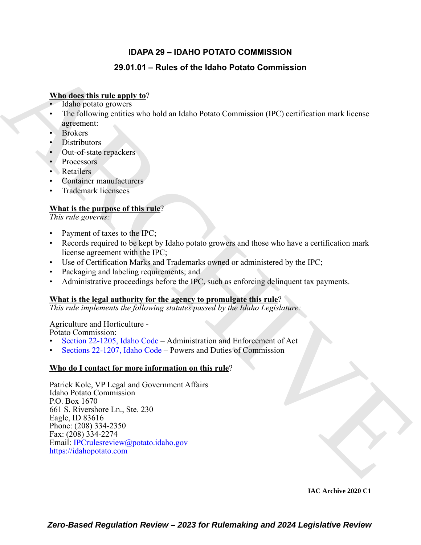### **IDAPA 29 – IDAHO POTATO COMMISSION**

### **29.01.01 – Rules of the Idaho Potato Commission**

#### **Who does this rule apply to**?

- Idaho potato growers
- The following entities who hold an Idaho Potato Commission (IPC) certification mark license agreement:
- Brokers
- Distributors
- Out-of-state repackers
- Processors
- Retailers
- Container manufacturers
- Trademark licensees

### **What is the purpose of this rule**?

*This rule governs:*

- Payment of taxes to the IPC;
- Records required to be kept by Idaho potato growers and those who have a certification mark license agreement with the IPC;
- Use of Certification Marks and Trademarks owned or administered by the IPC;
- Packaging and labeling requirements; and
- Administrative proceedings before the IPC, such as enforcing delinquent tax payments.

#### **What is the legal authority for the agency to promulgate this rule**?

*This rule implements the following statutes passed by the Idaho Legislature:*

#### Agriculture and Horticulture -

Potato Commission:

- Section 22-1205, Idaho Code Administration and Enforcement of Act
- Sections 22-1207, Idaho Code Powers and Duties of Commission

#### **Who do I contact for more information on this rule**?

**29.04.04 – Rules of the Idaho Potato Commission**<br> **ARCHIV[E](mailto: IPCrulesreview@potato.idaho.gov) Distribution (1981)** Let <br> **ARCHIVE TRIBUS POSITION** Let <br> **ARCHIVE PROPERTY** and the book in Idaho Potato Commission (IPC) certification much is ensue<br> **BYokers** Patrick Kole, VP Legal and Government Affairs Idaho Potato Commission P.O. Box 1670 661 S. Rivershore Ln., Ste. 230 Eagle, ID 83616 Phone: (208) 334-2350 Fax: (208) 334-2274 Email: IPCrulesreview@potato.idaho.gov https://idahopotato.com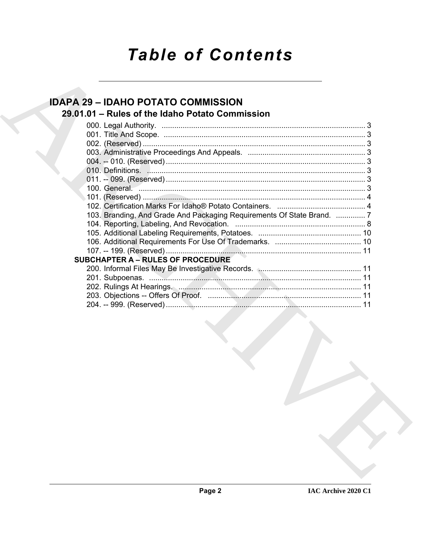# **Table of Contents**

## **IDAPA 29 - IDAHO POTATO COMMISSION** 29.01.01 - Rules of the Idaho Potato Commission

| 103. Branding, And Grade And Packaging Requirements Of State Brand.  7 |  |
|------------------------------------------------------------------------|--|
|                                                                        |  |
|                                                                        |  |
|                                                                        |  |
|                                                                        |  |
| <b>SUBCHAPTER A - RULES OF PROCEDURE</b>                               |  |
|                                                                        |  |
|                                                                        |  |
|                                                                        |  |
|                                                                        |  |
|                                                                        |  |
|                                                                        |  |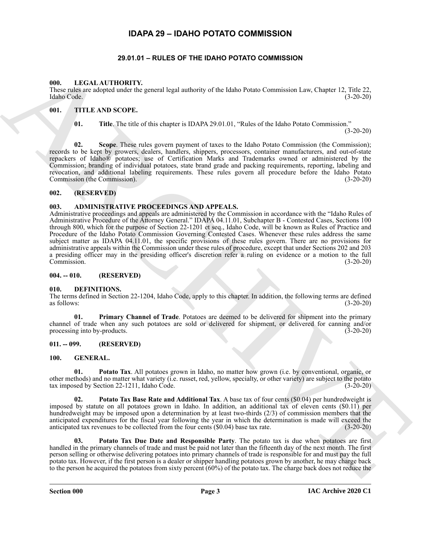#### **IDAPA 29 – IDAHO POTATO COMMISSION**

#### **29.01.01 – RULES OF THE IDAHO POTATO COMMISSION**

#### <span id="page-2-17"></span><span id="page-2-2"></span><span id="page-2-1"></span><span id="page-2-0"></span>**000. LEGAL AUTHORITY.**

These rules are adopted under the general legal authority of the Idaho Potato Commission Law, Chapter 12, Title 22, Idaho Code. (3-20-20)

#### <span id="page-2-3"></span>**001. TITLE AND SCOPE.**

<span id="page-2-18"></span>**01. Title**. The title of this chapter is IDAPA 29.01.01, "Rules of the Idaho Potato Commission." (3-20-20)

**02.** Scope. These rules govern payment of taxes to the Idaho Potato Commission (the Commission); records to be kept by growers, dealers, handlers, shippers, processors, container manufacturers, and out-of-state repackers of Idaho® potatoes; use of Certification Marks and Trademarks owned or administered by the Commission; branding of individual potatoes, state brand grade and packing requirements, reporting, labeling and revocation, and additional labeling requirements. These rules govern all procedure before the Idaho Potato Commission (the Commission). (3-20-20)

#### <span id="page-2-4"></span>**002. (RESERVED)**

#### <span id="page-2-10"></span><span id="page-2-5"></span>**003. ADMINISTRATIVE PROCEEDINGS AND APPEALS.**

69. LACAL AUTHOMITY,<br>
Theoretical education is a memorie legislation in the bias Potato Commission Lac, Casper 12, Tube 22,<br>
Hence radio at the Fig. at the characteristic present of the state of the bias Potato Commission Administrative proceedings and appeals are administered by the Commission in accordance with the "Idaho Rules of Administrative Procedure of the Attorney General." IDAPA 04.11.01, Subchapter B - Contested Cases, Sections 100 through 800, which for the purpose of Section 22-1201 et seq., Idaho Code, will be known as Rules of Practice and Procedure of the Idaho Potato Commission Governing Contested Cases. Whenever these rules address the same subject matter as IDAPA 04.11.01, the specific provisions of these rules govern. There are no provisions for administrative appeals within the Commission under these rules of procedure, except that under Sections 202 and 203 a presiding officer may in the presiding officer's discretion refer a ruling on evidence or a motion to the full Commission. (3-20-20)

#### <span id="page-2-6"></span>**004. -- 010. (RESERVED)**

#### <span id="page-2-11"></span><span id="page-2-7"></span>**010. DEFINITIONS.**

The terms defined in Section 22-1204, Idaho Code, apply to this chapter. In addition, the following terms are defined as follows:  $(3-20-20)$ 

<span id="page-2-12"></span>**01. Primary Channel of Trade**. Potatoes are deemed to be delivered for shipment into the primary channel of trade when any such potatoes are sold or delivered for shipment, or delivered for canning and/or processing into by-products. (3-20-20) processing into by-products.

#### <span id="page-2-8"></span>**011. -- 099. (RESERVED)**

#### <span id="page-2-14"></span><span id="page-2-13"></span><span id="page-2-9"></span>**100. GENERAL.**

**01. Potato Tax**. All potatoes grown in Idaho, no matter how grown (i.e. by conventional, organic, or other methods) and no matter what variety (i.e. russet, red, yellow, specialty, or other variety) are subject to the potato tax imposed by Section 22-1211, Idaho Code.

<span id="page-2-15"></span>**Potato Tax Base Rate and Additional Tax**. A base tax of four cents (\$0.04) per hundredweight is imposed by statute on all potatoes grown in Idaho. In addition, an additional tax of eleven cents (\$0.11) per hundredweight may be imposed upon a determination by at least two-thirds (2/3) of commission members that the anticipated expenditures for the fiscal year following the year in which the determination is made will exceed the anticipated tax revenues to be collected from the four cents (\$0.04) base tax rate. (3-20-20)

<span id="page-2-16"></span>**03. Potato Tax Due Date and Responsible Party**. The potato tax is due when potatoes are first handled in the primary channels of trade and must be paid not later than the fifteenth day of the next month. The first person selling or otherwise delivering potatoes into primary channels of trade is responsible for and must pay the full potato tax. However, if the first person is a dealer or shipper handling potatoes grown by another, he may charge back to the person he acquired the potatoes from sixty percent (60%) of the potato tax. The charge back does not reduce the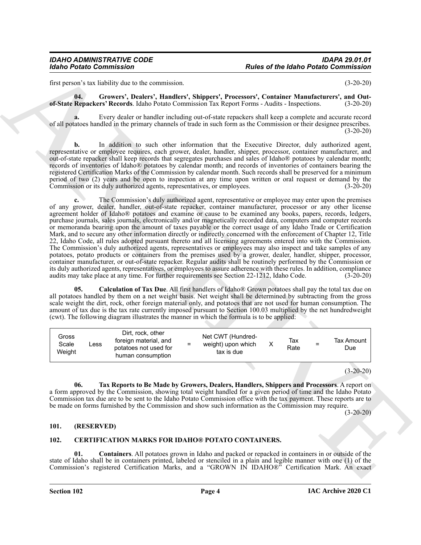first person's tax liability due to the commission. (3-20-20)

<span id="page-3-5"></span>**04. Growers', Dealers', Handlers', Shippers', Processors', Container Manufacturers', and Outof-State Repackers' Records**. Idaho Potato Commission Tax Report Forms - Audits - Inspections. (3-20-20)

**a.** Every dealer or handler including out-of-state repackers shall keep a complete and accurate record of all potatoes handled in the primary channels of trade in such form as the Commission or their designee prescribes.  $(3-20-20)$ 

**b.** In addition to such other information that the Executive Director, duly authorized agent, representative or employee requires, each grower, dealer, handler, shipper, processor, container manufacturer, and out-of-state repacker shall keep records that segregates purchases and sales of Idaho® potatoes by calendar month; records of inventories of Idaho® potatoes by calendar month; and records of inventories of containers bearing the registered Certification Marks of the Commission by calendar month. Such records shall be preserved for a minimum period of two (2) years and be open to inspection at any time upon written or oral request or demand by the Commission or its duly authorized agents, representatives, or employees. (3-20-20)

For the Maleno Commission<br>
Interaction (see of the Maleno Commission<br>
Interaction by the commission<br>
Interaction of the Maleno Commission<br>
of State Higgs Commission<br>
of State Higgs Commission<br>
of State Higgs Commission<br>
o **c.** The Commission's duly authorized agent, representative or employee may enter upon the premises of any grower, dealer, handler, out-of-state repacker, container manufacturer, processor or any other license agreement holder of Idaho® potatoes and examine or cause to be examined any books, papers, records, ledgers, purchase journals, sales journals, electronically and/or magnetically recorded data, computers and computer records or memoranda bearing upon the amount of taxes payable or the correct usage of any Idaho Trade or Certification Mark, and to secure any other information directly or indirectly concerned with the enforcement of Chapter 12, Title 22, Idaho Code, all rules adopted pursuant thereto and all licensing agreements entered into with the Commission. The Commission's duly authorized agents, representatives or employees may also inspect and take samples of any potatoes, potato products or containers from the premises used by a grower, dealer, handler, shipper, processor, container manufacturer, or out-of-state repacker. Regular audits shall be routinely performed by the Commission or its duly authorized agents, representatives, or employees to assure adherence with these rules. In addition, compliance audits may take place at any time. For further requirements see Section 22-1212, Idaho Code. (3-20-20)

<span id="page-3-4"></span>**05. Calculation of Tax Due**. All first handlers of Idaho® Grown potatoes shall pay the total tax due on all potatoes handled by them on a net weight basis. Net weight shall be determined by subtracting from the gross scale weight the dirt, rock, other foreign material only, and potatoes that are not used for human consumption. The amount of tax due is the tax rate currently imposed pursuant to Section 100.03 multiplied by the net hundredweight (cwt). The following diagram illustrates the manner in which the formula is to be applied:

| Gross<br>Scale<br>$\mathsf{L} \mathsf{ess}$<br>Weight | Dirt, rock, other<br>foreign material, and<br>potatoes not used for<br>human consumption | $=$ | Net CWT (Hundred-<br>weight) upon which<br>tax is due |  | Tax<br>Rate | $=$ | Tax Amount<br>Due |
|-------------------------------------------------------|------------------------------------------------------------------------------------------|-----|-------------------------------------------------------|--|-------------|-----|-------------------|
|-------------------------------------------------------|------------------------------------------------------------------------------------------|-----|-------------------------------------------------------|--|-------------|-----|-------------------|

(3-20-20)

<span id="page-3-6"></span>**06. Tax Reports to Be Made by Growers, Dealers, Handlers, Shippers and Processors**. A report on a form approved by the Commission, showing total weight handled for a given period of time and the Idaho Potato Commission tax due are to be sent to the Idaho Potato Commission office with the tax payment. These reports are to be made on forms furnished by the Commission and show such information as the Commission may require.

(3-20-20)

#### <span id="page-3-0"></span>**101. (RESERVED)**

#### <span id="page-3-3"></span><span id="page-3-2"></span><span id="page-3-1"></span>**102. CERTIFICATION MARKS FOR IDAHO® POTATO CONTAINERS.**

**01. Containers**. All potatoes grown in Idaho and packed or repacked in containers in or outside of the state of Idaho shall be in containers printed, labeled or stenciled in a plain and legible manner with one (1) of the Commission's registered Certification Marks, and a "GROWN IN IDAHO®" Certification Mark. An exact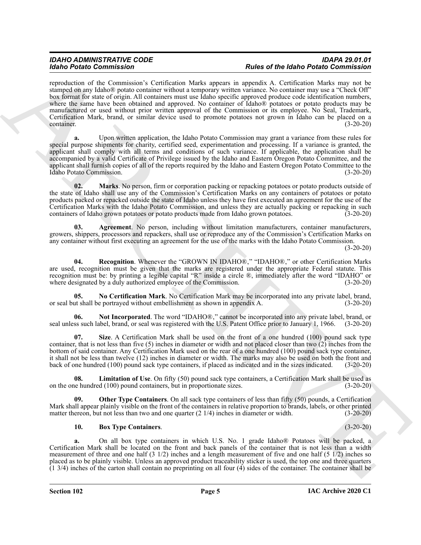More Protocolour and the Contribution More and the More of the More Contribute Contribute Contribute Contribute Contribute Contribute Contribute Contribute Contribute Contribute Contribute Contribute Contribute Contribute reproduction of the Commission's Certification Marks appears in appendix A. Certification Marks may not be stamped on any Idaho® potato container without a temporary written variance. No container may use a "Check Off" box format for state of origin. All containers must use Idaho specific approved produce code identification numbers, where the same have been obtained and approved. No container of Idaho® potatoes or potato products may be manufactured or used without prior written approval of the Commission or its employee. No Seal, Trademark, Certification Mark, brand, or similar device used to promote potatoes not grown in Idaho can be placed on a container. (3-20-20)

**a.** Upon written application, the Idaho Potato Commission may grant a variance from these rules for special purpose shipments for charity, certified seed, experimentation and processing. If a variance is granted, the applicant shall comply with all terms and conditions of such variance. If applicable, the application shall be accompanied by a valid Certificate of Privilege issued by the Idaho and Eastern Oregon Potato Committee, and the applicant shall furnish copies of all of the reports required by the Idaho and Eastern Oregon Potato Committee to the Idaho Potato Commission. (3-20-20)

<span id="page-4-3"></span>**02.** Marks. No person, firm or corporation packing or repacking potatoes or potato products outside of the state of Idaho shall use any of the Commission's Certification Marks on any containers of potatoes or potato products packed or repacked outside the state of Idaho unless they have first executed an agreement for the use of the Certification Marks with the Idaho Potato Commission, and unless they are actually packing or repacking in such containers of Idaho grown potatoes or potato products made from Idaho grown potatoes.  $(3-20-20)$ 

<span id="page-4-0"></span>**03. Agreement**. No person, including without limitation manufacturers, container manufacturers, growers, shippers, processors and repackers, shall use or reproduce any of the Commission's Certification Marks on any container without first executing an agreement for the use of the marks with the Idaho Potato Commission.

 $(3-20-20)$ 

<span id="page-4-7"></span>**04. Recognition**. Whenever the "GROWN IN IDAHO®," "IDAHO®," or other Certification Marks are used, recognition must be given that the marks are registered under the appropriate Federal statute. This recognition must be: by printing a legible capital "R" inside a circle ®, immediately after the word "IDAHO" or where designated by a duly authorized employee of the Commission. (3-20-20)

<span id="page-4-4"></span>**05. No Certification Mark**. No Certification Mark may be incorporated into any private label, brand, or seal but shall be portrayed without embellishment as shown in appendix A. (3-20-20)

<span id="page-4-5"></span>**06.** Not Incorporated. The word "IDAHO®," cannot be incorporated into any private label, brand, or seal unless such label, brand, or seal was registered with the U.S. Patent Office prior to January 1, 1966. (3-20-20)

<span id="page-4-8"></span>**07. Size**. A Certification Mark shall be used on the front of a one hundred (100) pound sack type container, that is not less than five (5) inches in diameter or width and not placed closer than two (2) inches from the bottom of said container. Any Certification Mark used on the rear of a one hundred (100) pound sack type container, it shall not be less than twelve (12) inches in diameter or width. The marks may also be used on both the front and back of one hundred (100) pound sack type containers, if placed as indicated and in the sizes indicated. (3-20-20)

<span id="page-4-2"></span>**08. Limitation of Use**. On fifty (50) pound sack type containers, a Certification Mark shall be used as on the one hundred (100) pound containers, but in proportionate sizes. (3-20-20)

**09. Other Type Containers**. On all sack type containers of less than fifty (50) pounds, a Certification Mark shall appear plainly visible on the front of the containers in relative proportion to brands, labels, or other printed matter thereon, but not less than two and one quarter (2 1/4) inches in diameter or width. (3-20-20)

#### <span id="page-4-6"></span><span id="page-4-1"></span>**10. Box Type Containers**. (3-20-20)

**a.** On all box type containers in which U.S. No. 1 grade Idaho® Potatoes will be packed, a Certification Mark shall be located on the front and back panels of the container that is not less than a width measurement of three and one half (3 1/2) inches and a length measurement of five and one half (5 1/2) inches so placed as to be plainly visible. Unless an approved product traceability sticker is used, the top one and three quarters (1 3/4) inches of the carton shall contain no preprinting on all four (4) sides of the container. The container shall be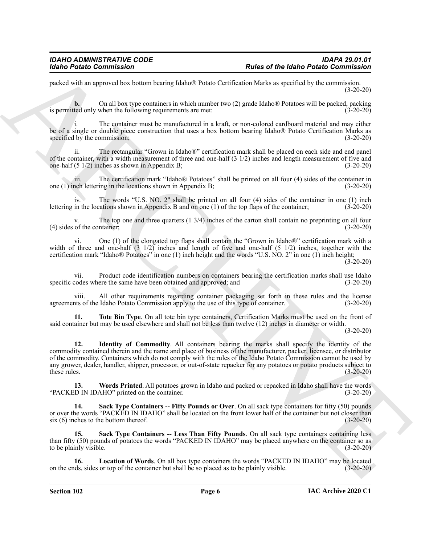packed with an approved box bottom bearing Idaho® Potato Certification Marks as specified by the commission. (3-20-20)

**b.** On all box type containers in which number two (2) grade Idaho® Potatoes will be packed, packing is permitted only when the following requirements are met: (3-20-20)

The container must be manufactured in a kraft, or non-colored cardboard material and may either be of a single or double piece construction that uses a box bottom bearing Idaho® Potato Certification Marks as specified by the commission; (3-20-20)

ii. The rectangular "Grown in Idaho®" certification mark shall be placed on each side and end panel of the container, with a width measurement of three and one-half  $(3 \frac{1}{2})$  inches and length measurement of five and one-half  $(5 \frac{1}{2})$  inches as shown in Appendix B; one-half  $(5 \frac{1}{2})$  inches as shown in Appendix B;

iii. The certification mark "Idaho® Potatoes" shall be printed on all four (4) sides of the container in one (1) inch lettering in the locations shown in Appendix B; (3-20-20)

iv. The words "U.S. NO. 2" shall be printed on all four (4) sides of the container in one (1) inch lettering in the locations shown in Appendix B and on one (1) of the top flaps of the container; (3-20-20)

The top one and three quarters  $(1 \frac{3}{4})$  inches of the carton shall contain no preprinting on all four (4) sides of the container; (3-20-20)

vi. One (1) of the elongated top flaps shall contain the "Grown in Idaho®" certification mark with a width of three and one-half  $(3 \frac{1}{2})$  inches and length of five and one-half  $(5 \frac{1}{2})$  inches, together with the certification mark "Idaho® Potatoes" in one (1) inch height and the words "U.S. NO. 2" in one (1) inch height; (3-20-20)

vii. Product code identification numbers on containers bearing the certification marks shall use Idaho specific codes where the same have been obtained and approved; and (3-20-20)

viii. All other requirements regarding container packaging set forth in these rules and the license agreements of the Idaho Potato Commission apply to the use of this type of container. (3-20-20)

<span id="page-5-4"></span><span id="page-5-0"></span>**11. Tote Bin Type**. On all tote bin type containers, Certification Marks must be used on the front of said container but may be used elsewhere and shall not be less than twelve (12) inches in diameter or width.

(3-20-20)

For the Barriston Commission Commission Control of the Male of the Male of the Male Commission<br>
The space of the local strengthening the space of the Male Commission Commission Commission Commission Commission<br>
For the sp **12. Identity of Commodity**. All containers bearing the marks shall specify the identity of the commodity contained therein and the name and place of business of the manufacturer, packer, licensee, or distributor of the commodity. Containers which do not comply with the rules of the Idaho Potato Commission cannot be used by any grower, dealer, handler, shipper, processor, or out-of-state repacker for any potatoes or potato products subject to these rules.  $(3-20-20)$ 

<span id="page-5-5"></span>**13. Words Printed**. All potatoes grown in Idaho and packed or repacked in Idaho shall have the words (D IN IDAHO" printed on the container. "PACKED IN IDAHO" printed on the container.

<span id="page-5-2"></span>**14. Sack Type Containers -- Fifty Pounds or Over**. On all sack type containers for fifty (50) pounds or over the words "PACKED IN IDAHO" shall be located on the front lower half of the container but not closer than six (6) inches to the bottom thereof. (3-20-20) six  $(6)$  inches to the bottom thereof.

<span id="page-5-3"></span>**15. Sack Type Containers -- Less Than Fifty Pounds**. On all sack type containers containing less than fifty (50) pounds of potatoes the words "PACKED IN IDAHO" may be placed anywhere on the container so as to be plainly visible. (3-20-20)

<span id="page-5-1"></span>**16. Location of Words**. On all box type containers the words "PACKED IN IDAHO" may be located on the ends, sides or top of the container but shall be so placed as to be plainly visible. (3-20-20)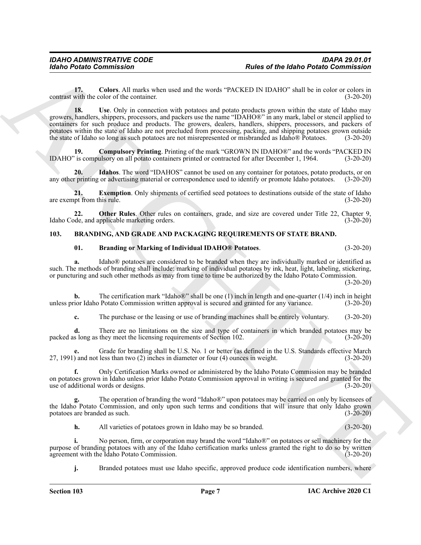<span id="page-6-8"></span><span id="page-6-3"></span>**17. Colors**. All marks when used and the words "PACKED IN IDAHO" shall be in color or colors in contrast with the color of the container. (3-20-20)

For the Hallo Commission<br>
Later of the Later of the Hallo Commission<br>
Contract Commission<br>
Contract Commission<br>
2. Contract Commission Contract Commission<br>
2. Contract Contract Commission<br>
2. Contract Contract Contract Co **18.** Use. Only in connection with potatoes and potato products grown within the state of Idaho may growers, handlers, shippers, processors, and packers use the name "IDAHO®" in any mark, label or stencil applied to containers for such produce and products. The growers, dealers, handlers, shippers, processors, and packers of potatoes within the state of Idaho are not precluded from processing, packing, and shipping potatoes grown outside the state of Idaho so long as such potatoes are not misrepresented or misbranded as Idaho® Potatoes. (3-20-20)

<span id="page-6-4"></span>**19. Compulsory Printing**. Printing of the mark "GROWN IN IDAHO®" and the words "PACKED IN IDAHO" is compulsory on all potato containers printed or contracted for after December 1, 1964. (3-20-20)

<span id="page-6-6"></span>**20. Idahos**. The word "IDAHOS" cannot be used on any container for potatoes, potato products, or on any other printing or advertising material or correspondence used to identify or promote Idaho potatoes. (3-20-20)

<span id="page-6-5"></span>**21. Exemption**. Only shipments of certified seed potatoes to destinations outside of the state of Idaho are exempt from this rule. (3-20-20) (3-20-20)

22. **Other Rules**. Other rules on containers, grade, and size are covered under Title 22, Chapter 9, Idaho Code, and applicable marketing orders. (3-20-20)

#### <span id="page-6-0"></span>**103. BRANDING, AND GRADE AND PACKAGING REQUIREMENTS OF STATE BRAND.**

#### <span id="page-6-7"></span><span id="page-6-2"></span><span id="page-6-1"></span>**01. Branding or Marking of Individual IDAHO® Potatoes**. (3-20-20)

**a.** Idaho® potatoes are considered to be branded when they are individually marked or identified as such. The methods of branding shall include: marking of individual potatoes by ink, heat, light, labeling, stickering, or puncturing and such other methods as may from time to time be authorized by the Idaho Potato Commission.

(3-20-20)

**b.** The certification mark "Idaho®" shall be one (1) inch in length and one-quarter (1/4) inch in height unless prior Idaho Potato Commission written approval is secured and granted for any variance. (3-20-20)

**c.** The purchase or the leasing or use of branding machines shall be entirely voluntary. (3-20-20)

**d.** There are no limitations on the size and type of containers in which branded potatoes may be packed as long as they meet the licensing requirements of Section 102. (3-20-20)

**e.** Grade for branding shall be U.S. No. 1 or better (as defined in the U.S. Standards effective March 27, 1991) and not less than two (2) inches in diameter or four (4) ounces in weight. (3-20-20)

**f.** Only Certification Marks owned or administered by the Idaho Potato Commission may be branded on potatoes grown in Idaho unless prior Idaho Potato Commission approval in writing is secured and granted for the use of additional words or designs. (3-20-20)

**g.** The operation of branding the word "Idaho®" upon potatoes may be carried on only by licensees of the Idaho Potato Commission, and only upon such terms and conditions that will insure that only Idaho grown potatoes are branded as such. (3-20-20) potatoes are branded as such.

**h.** All varieties of potatoes grown in Idaho may be so branded. (3-20-20)

**i.** No person, firm, or corporation may brand the word "Idaho®" on potatoes or sell machinery for the purpose of branding potatoes with any of the Idaho certification marks unless granted the right to do so by written agreement with the Idaho Potato Commission. (3-20-20) agreement with the Idaho Potato Commission.

**j.** Branded potatoes must use Idaho specific, approved produce code identification numbers, where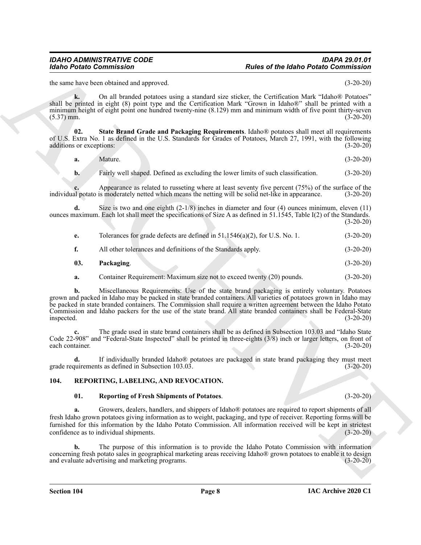the same have been obtained and approved. (3-20-20)

**k.** On all branded potatoes using a standard size sticker, the Certification Mark "Idaho® Potatoes" shall be printed in eight (8) point type and the Certification Mark "Grown in Idaho®" shall be printed with a minimum height of eight point one hundred twenty-nine (8.129) mm and minimum width of five point thirty-seven  $(5.37)$  mm.  $(3-20-20)$ 

**02. State Brand Grade and Packaging Requirements**. Idaho® potatoes shall meet all requirements of U.S. Extra No. 1 as defined in the U.S. Standards for Grades of Potatoes, March 27, 1991, with the following additions or exceptions: (3-20-20)

<span id="page-7-2"></span>

| $(3-20-20)$ |
|-------------|
| Mature.     |

**b.** Fairly well shaped. Defined as excluding the lower limits of such classification. (3-20-20)

**c.** Appearance as related to russeting where at least seventy five percent (75%) of the surface of the al potato is moderately netted which means the netting will be solid net-like in appearance. (3-20-20) individual potato is moderately netted which means the netting will be solid net-like in appearance.

**d.** Size is two and one eighth (2-1/8) inches in diameter and four (4) ounces minimum, eleven (11) ounces maximum. Each lot shall meet the specifications of Size A as defined in  $51.\overline{1545}$ , Table I(2) of the Standards. (3-20-20)

| e. | Tolerances for grade defects are defined in 51.1546(a)(2), for U.S. No. 1. | $(3-20-20)$ |
|----|----------------------------------------------------------------------------|-------------|
|    | All other tolerances and definitions of the Standards apply.               | $(3-20-20)$ |

- <span id="page-7-1"></span>**03. Packaging**. (3-20-20)
- **a.** Container Requirement: Maximum size not to exceed twenty (20) pounds. (3-20-20)

For the technology of the state of the state of the state of the state of the state of the state of the state of the state of the state of the state of the state of the state of the state of the state of the state of the **b.** Miscellaneous Requirements: Use of the state brand packaging is entirely voluntary. Potatoes grown and packed in Idaho may be packed in state branded containers. All varieties of potatoes grown in Idaho may be packed in state branded containers. The Commission shall require a written agreement between the Idaho Potato Commission and Idaho packers for the use of the state brand. All state branded containers shall be Federal-State inspected. (3-20-20) inspected. (3-20-20)

**c.** The grade used in state brand containers shall be as defined in Subsection 103.03 and "Idaho State Code 22-908" and "Federal-State Inspected" shall be printed in three-eights (3/8) inch or larger letters, on front of each container. (3-20-20)

**d.** If individually branded Idaho® potatoes are packaged in state brand packaging they must meet grade requirements as defined in Subsection 103.03. (3-20-20)

#### <span id="page-7-0"></span>**104. REPORTING, LABELING, AND REVOCATION.**

#### <span id="page-7-4"></span><span id="page-7-3"></span>**01. Reporting of Fresh Shipments of Potatoes**. (3-20-20)

**a.** Growers, dealers, handlers, and shippers of Idaho® potatoes are required to report shipments of all fresh Idaho grown potatoes giving information as to weight, packaging, and type of receiver. Reporting forms will be furnished for this information by the Idaho Potato Commission. All information received will be kept in strictest confidence as to individual shipments. (3-20-20)

**b.** The purpose of this information is to provide the Idaho Potato Commission with information concerning fresh potato sales in geographical marketing areas receiving Idaho® grown potatoes to enable it to design and evaluate advertising and marketing programs. (3-20-20)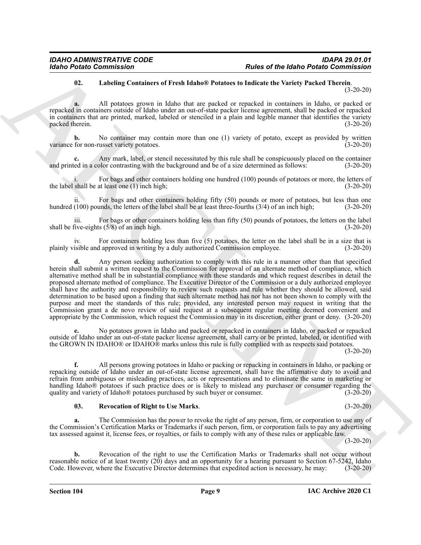#### <span id="page-8-0"></span>**02. Labeling Containers of Fresh Idaho® Potatoes to Indicate the Variety Packed Therein**. (3-20-20)

**a.** All potatoes grown in Idaho that are packed or repacked in containers in Idaho, or packed or repacked in containers outside of Idaho under an out-of-state packer license agreement, shall be packed or repacked in containers that are printed, marked, labeled or stenciled in a plain and legible manner that identifies the variety packed therein. (3-20-20) packed therein.

**b.** No container may contain more than one (1) variety of potato, except as provided by written variance for non-russet variety potatoes. (3-20-20)

Any mark, label, or stencil necessitated by this rule shall be conspicuously placed on the container plor contrasting with the background and be of a size determined as follows: (3-20-20) and printed in a color contrasting with the background and be of a size determined as follows:

For bags and other containers holding one hundred (100) pounds of potatoes or more, the letters of at least one (1) inch high;<br>(3-20-20) the label shall be at least one  $(1)$  inch high;

ii. For bags and other containers holding fifty (50) pounds or more of potatoes, but less than one hundred (100) pounds, the letters of the label shall be at least three-fourths (3/4) of an inch high; (3-20-20)

iii. For bags or other containers holding less than fifty  $(50)$  pounds of potatoes, the letters on the label five-eights  $(5/8)$  of an inch high.  $(3-20-20)$ shall be five-eights  $(5/8)$  of an inch high.

For containers holding less than five  $(5)$  potatoes, the letter on the label shall be in a size that is plainly visible and approved in writing by a duly authorized Commission employee. (3-20-20)

For the Maler Commission<br>
The Contract Commission Commission Commission Commission Commission Commission Commission Commission Commission<br>
(AL Pressure appear in Behaviolet are produced to material the commission control **d.** Any person seeking authorization to comply with this rule in a manner other than that specified herein shall submit a written request to the Commission for approval of an alternate method of compliance, which alternative method shall be in substantial compliance with these standards and which request describes in detail the proposed alternate method of compliance. The Executive Director of the Commission or a duly authorized employee shall have the authority and responsibility to review such requests and rule whether they should be allowed, said determination to be based upon a finding that such alternate method has nor has not been shown to comply with the purpose and meet the standards of this rule; provided, any interested person may request in writing that the Commission grant a de novo review of said request at a subsequent regular meeting deemed convenient and appropriate by the Commission, which request the Commission may in its discretion, either grant or deny. (3-20-20)

**e.** No potatoes grown in Idaho and packed or repacked in containers in Idaho, or packed or repacked outside of Idaho under an out-of-state packer license agreement, shall carry or be printed, labeled, or identified with the GROWN IN IDAHO® or IDAHO® marks unless this rule is fully complied with as respects said potatoes.

(3-20-20)

**f.** All persons growing potatoes in Idaho or packing or repacking in containers in Idaho, or packing or repacking outside of Idaho under an out-of-state license agreement, shall have the affirmative duty to avoid and refrain from ambiguous or misleading practices, acts or representations and to eliminate the same in marketing or handling Idaho® potatoes if such practice does or is likely to mislead any purchaser or consumer regarding the quality and variety of Idaho® potatoes purchased by such buyer or consumer. (3-20-20) quality and variety of Idaho<sup>®</sup> potatoes purchased by such buyer or consumer.

#### <span id="page-8-1"></span>**03. Revocation of Right to Use Marks**. (3-20-20)

**a.** The Commission has the power to revoke the right of any person, firm, or corporation to use any of the Commission's Certification Marks or Trademarks if such person, firm, or corporation fails to pay any advertising tax assessed against it, license fees, or royalties, or fails to comply with any of these rules or applicable law.

(3-20-20)

**b.** Revocation of the right to use the Certification Marks or Trademarks shall not occur without reasonable notice of at least twenty  $(20)$  days and an opportunity for a hearing pursuant to Section 67-5242, Idaho Code. However, where the Executive Director determines that expedited action is necessary, he may: (3-20-20)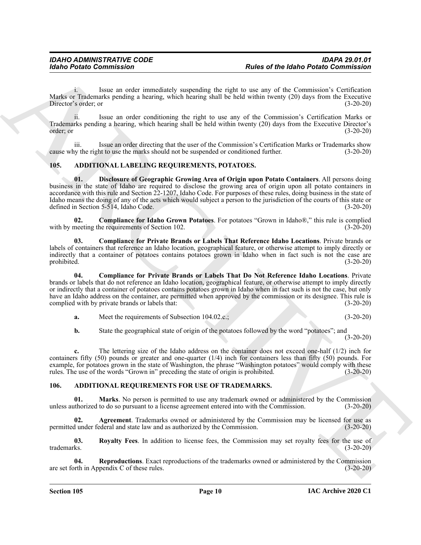i. Issue an order immediately suspending the right to use any of the Commission's Certification Marks or Trademarks pending a hearing, which hearing shall be held within twenty (20) days from the Executive Director's order: or (3-20-20) Director's order; or

ii. Issue an order conditioning the right to use any of the Commission's Certification Marks or Trademarks pending a hearing, which hearing shall be held within twenty (20) days from the Executive Director's order; or (3-20-20)

iii. Issue an order directing that the user of the Commission's Certification Marks or Trademarks show cause why the right to use the marks should not be suspended or conditioned further. (3-20-20)

#### <span id="page-9-2"></span><span id="page-9-0"></span>**105. ADDITIONAL LABELING REQUIREMENTS, POTATOES.**

<span id="page-9-6"></span>**01. Disclosure of Geographic Growing Area of Origin upon Potato Containers**. All persons doing business in the state of Idaho are required to disclose the growing area of origin upon all potato containers in accordance with this rule and Section 22-1207, Idaho Code. For purposes of these rules, doing business in the state of Idaho means the doing of any of the acts which would subject a person to the jurisdiction of the courts of this state or defined in Section 5-514, Idaho Code. (3-20-20)

<span id="page-9-3"></span>**02. Compliance for Idaho Grown Potatoes**. For potatoes "Grown in Idaho®," this rule is complied neeting the requirements of Section 102. with by meeting the requirements of Section 102.

<span id="page-9-5"></span>**03. Compliance for Private Brands or Labels That Reference Idaho Locations**. Private brands or labels of containers that reference an Idaho location, geographical feature, or otherwise attempt to imply directly or indirectly that a container of potatoes contains potatoes grown in Idaho when in fact such is not the case are prohibited. (3-20-20)

For the United Commutation Commutation and results and results and results and results and results are not the United Commutation of the Commutation Commutation Commutation Commutation Commutation Commutation Commutation **04. Compliance for Private Brands or Labels That Do Not Reference Idaho Locations**. Private brands or labels that do not reference an Idaho location, geographical feature, or otherwise attempt to imply directly or indirectly that a container of potatoes contains potatoes grown in Idaho when in fact such is not the case, but only have an Idaho address on the container, are permitted when approved by the commission or its designee. This rule is complied with by private brands or labels that: (3-20-20)

<span id="page-9-4"></span>**a.** Meet the requirements of Subsection 104.02.c.; (3-20-20)

**b.** State the geographical state of origin of the potatoes followed by the word "potatoes"; and (3-20-20)

**c.** The lettering size of the Idaho address on the container does not exceed one-half (1/2) inch for containers fifty (50) pounds or greater and one-quarter (1/4) inch for containers less than fifty (50) pounds. For example, for potatoes grown in the state of Washington, the phrase "Washington potatoes" would comply with these rules. The use of the words "Grown in" preceding the state of origin is prohibited. (3-20-20)

#### <span id="page-9-7"></span><span id="page-9-1"></span>**106. ADDITIONAL REQUIREMENTS FOR USE OF TRADEMARKS.**

<span id="page-9-9"></span>**01. Marks**. No person is permitted to use any trademark owned or administered by the Commission unless authorized to do so pursuant to a license agreement entered into with the Commission. (3-20-20)

<span id="page-9-8"></span>**02. Agreement**. Trademarks owned or administered by the Commission may be licensed for use as permitted under federal and state law and as authorized by the Commission. (3-20-20)

<span id="page-9-11"></span>**03. Royalty Fees**. In addition to license fees, the Commission may set royalty fees for the use of trademarks. (3-20-20)

<span id="page-9-10"></span>**04. Reproductions**. Exact reproductions of the trademarks owned or administered by the Commission are set forth in Appendix C of these rules. (3-20-20)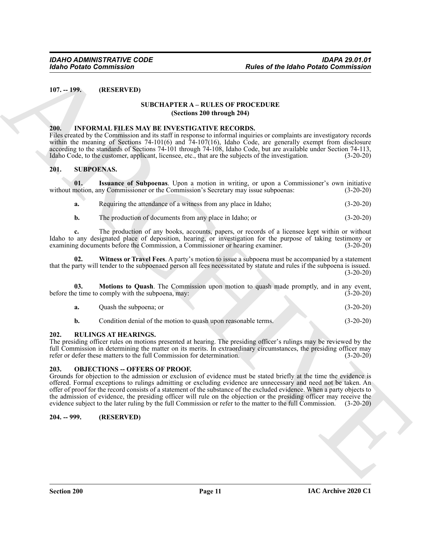<span id="page-10-1"></span><span id="page-10-0"></span>**107. -- 199. (RESERVED)**

#### **SUBCHAPTER A – RULES OF PROCEDURE (Sections 200 through 204)**

#### <span id="page-10-7"></span><span id="page-10-2"></span>**200. INFORMAL FILES MAY BE INVESTIGATIVE RECORDS.**

Files created by the Commission and its staff in response to informal inquiries or complaints are investigatory records within the meaning of Sections 74-101(6) and 74-107(16), Idaho Code, are generally exempt from disclosure according to the standards of Sections 74-101 through 74-108, Idaho Code, but are available under Section 74-113, Idaho Code, to the customer, applicant, licensee, etc., that are the subjects of the investigation. (3-20-20)

#### <span id="page-10-10"></span><span id="page-10-3"></span>**201. SUBPOENAS.**

**01. Issuance of Subpoenas**. Upon a motion in writing, or upon a Commissioner's own initiative without motion, any Commissioner or the Commission's Secretary may issue subpoenas: (3-20-20)

<span id="page-10-11"></span>

| a. |  | Requiring the attendance of a witness from any place in Idaho; | $(3-20-20)$ |
|----|--|----------------------------------------------------------------|-------------|
|----|--|----------------------------------------------------------------|-------------|

<span id="page-10-13"></span>**b.** The production of documents from any place in Idaho; or (3-20-20)

**c.** The production of any books, accounts, papers, or records of a licensee kept within or without Idaho to any designated place of deposition, hearing, or investigation for the purpose of taking testimony or examining documents before the Commission, a Commissioner or hearing examiner. (3-20-20)

**02. Witness or Travel Fees**. A party's motion to issue a subpoena must be accompanied by a statement that the party will tender to the subpoenaed person all fees necessitated by statute and rules if the subpoena is issued. (3-20-20)

**03. Motions to Quash**. The Commission upon motion to quash made promptly, and in any event, before the time to comply with the subpoena, may: (3-20-20) (3-20-20)

<span id="page-10-12"></span>

| $(3-20-20)$<br>Quash the subpoena; or |  |
|---------------------------------------|--|
|---------------------------------------|--|

<span id="page-10-9"></span>

#### <span id="page-10-4"></span>**202. RULINGS AT HEARINGS.**

The presiding officer rules on motions presented at hearing. The presiding officer's rulings may be reviewed by the full Commission in determining the matter on its merits. In extraordinary circumstances, the presiding officer may refer or defer these matters to the full Commission for determination. (3-20-20) refer or defer these matters to the full Commission for determination.

#### <span id="page-10-8"></span><span id="page-10-5"></span>**203. OBJECTIONS -- OFFERS OF PROOF.**

For the Hallo Points Commission<br>
1971. -199.<br>
(IRSELIVED)<br>
1973. -199. (IRSELIVED AT LES MAY BE (NATIVER A - RUT EN OF PROCEDURE<br>
2010. -1997. (IRSELIVED AT LES MAY BE (NATIVER A - RUT ENCORPRETENCIES)<br>
2010. -1997. (IRSE Grounds for objection to the admission or exclusion of evidence must be stated briefly at the time the evidence is offered. Formal exceptions to rulings admitting or excluding evidence are unnecessary and need not be taken. An offer of proof for the record consists of a statement of the substance of the excluded evidence. When a party objects to the admission of evidence, the presiding officer will rule on the objection or the presiding officer may receive the evidence subject to the later ruling by the full Commission or refer to the matter to the full Commission. (3-20-20)

#### <span id="page-10-6"></span>**204. -- 999. (RESERVED)**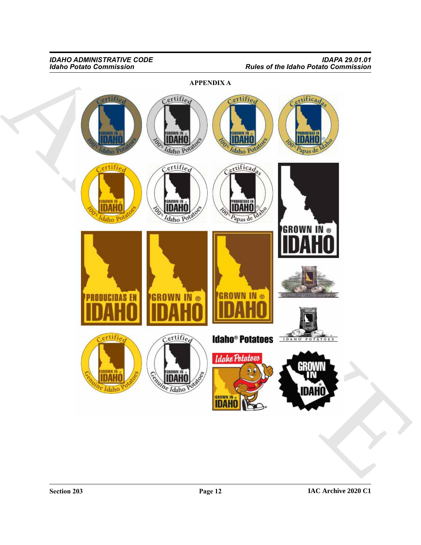**APPENDIX A**

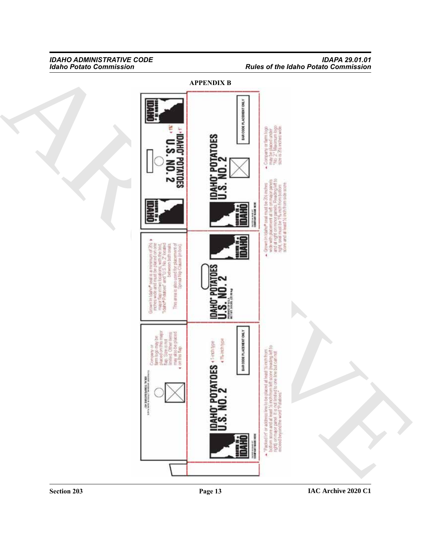#### *IDAHO ADMINISTRATIVE CODE IDAPA 29.01.01 Idaho Potato Commission Rules of the Idaho Potato Commission*

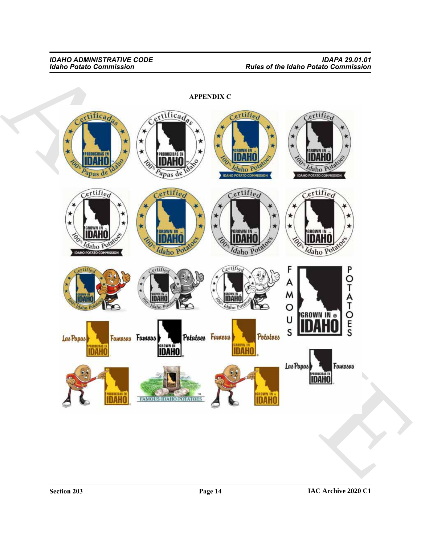